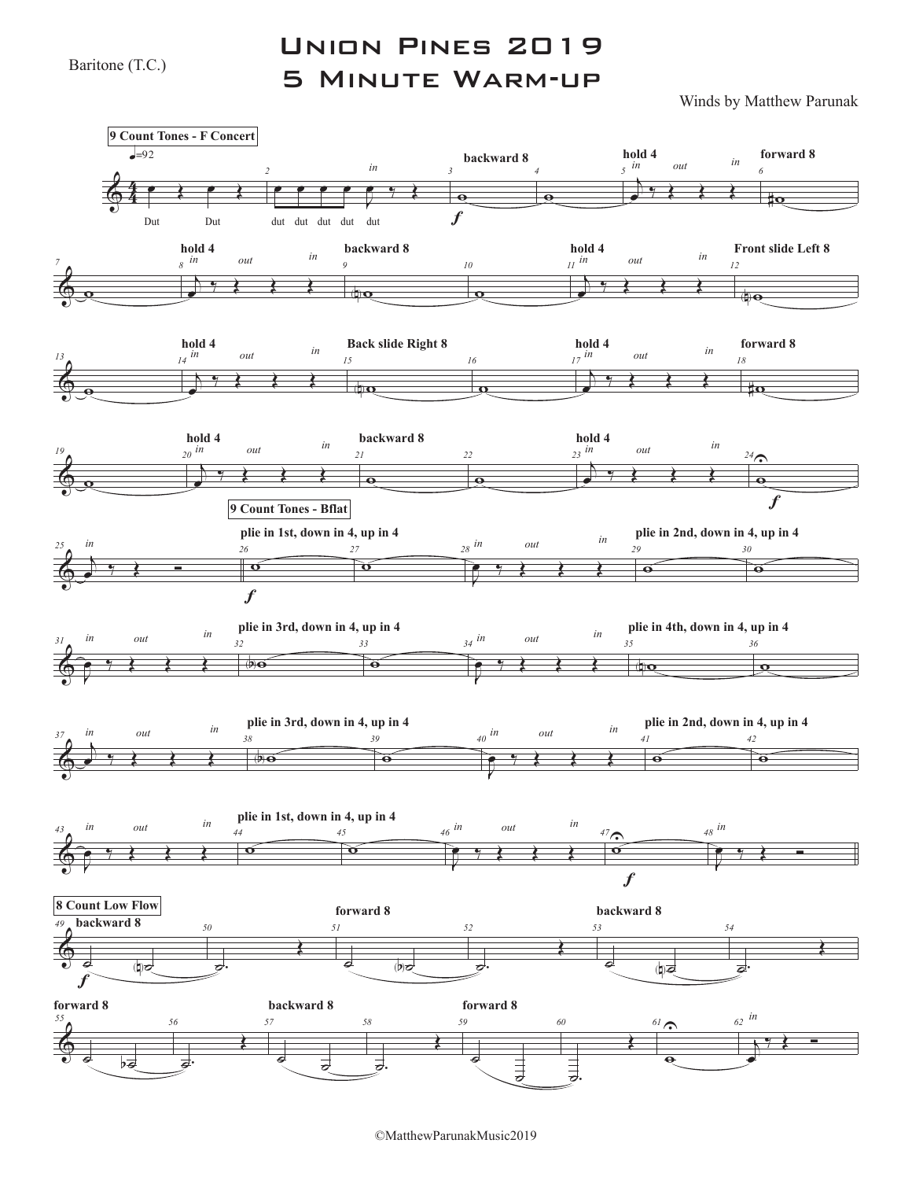Baritone (T.C.)

## Union Pines 2019 5 Minute Warm-up

Winds by Matthew Parunak